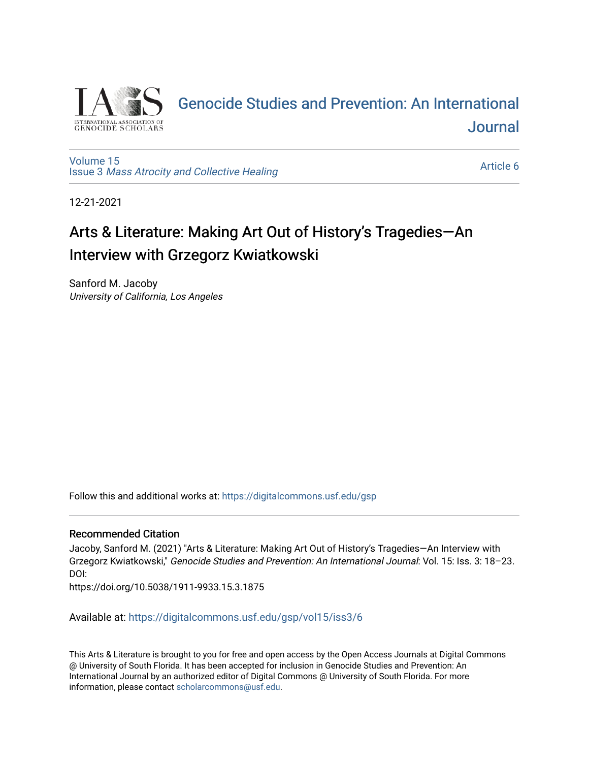

# [Genocide Studies and Prevention: An International](https://digitalcommons.usf.edu/gsp)  [Journal](https://digitalcommons.usf.edu/gsp)

[Volume 15](https://digitalcommons.usf.edu/gsp/vol15) Issue 3 [Mass Atrocity and Collective Healing](https://digitalcommons.usf.edu/gsp/vol15/iss3) 

[Article 6](https://digitalcommons.usf.edu/gsp/vol15/iss3/6) 

12-21-2021

# Arts & Literature: Making Art Out of History's Tragedies—An Interview with Grzegorz Kwiatkowski

Sanford M. Jacoby University of California, Los Angeles

Follow this and additional works at: [https://digitalcommons.usf.edu/gsp](https://digitalcommons.usf.edu/gsp?utm_source=digitalcommons.usf.edu%2Fgsp%2Fvol15%2Fiss3%2F6&utm_medium=PDF&utm_campaign=PDFCoverPages) 

### Recommended Citation

Jacoby, Sanford M. (2021) "Arts & Literature: Making Art Out of History's Tragedies—An Interview with Grzegorz Kwiatkowski," Genocide Studies and Prevention: An International Journal: Vol. 15: Iss. 3: 18–23. DOI:

https://doi.org/10.5038/1911-9933.15.3.1875

Available at: [https://digitalcommons.usf.edu/gsp/vol15/iss3/6](https://digitalcommons.usf.edu/gsp/vol15/iss3/6?utm_source=digitalcommons.usf.edu%2Fgsp%2Fvol15%2Fiss3%2F6&utm_medium=PDF&utm_campaign=PDFCoverPages)

This Arts & Literature is brought to you for free and open access by the Open Access Journals at Digital Commons @ University of South Florida. It has been accepted for inclusion in Genocide Studies and Prevention: An International Journal by an authorized editor of Digital Commons @ University of South Florida. For more information, please contact [scholarcommons@usf.edu](mailto:scholarcommons@usf.edu).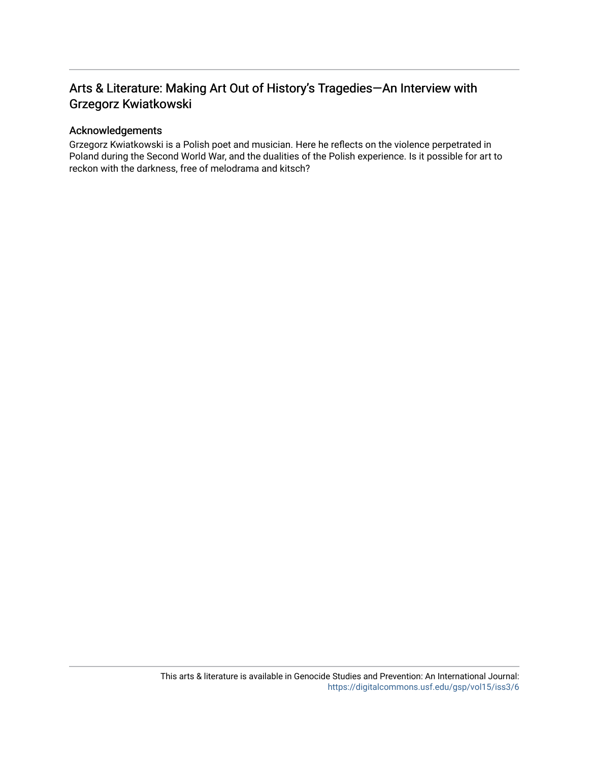## Arts & Literature: Making Art Out of History's Tragedies-An Interview with Grzegorz Kwiatkowski

### Acknowledgements

Grzegorz Kwiatkowski is a Polish poet and musician. Here he reflects on the violence perpetrated in Poland during the Second World War, and the dualities of the Polish experience. Is it possible for art to reckon with the darkness, free of melodrama and kitsch?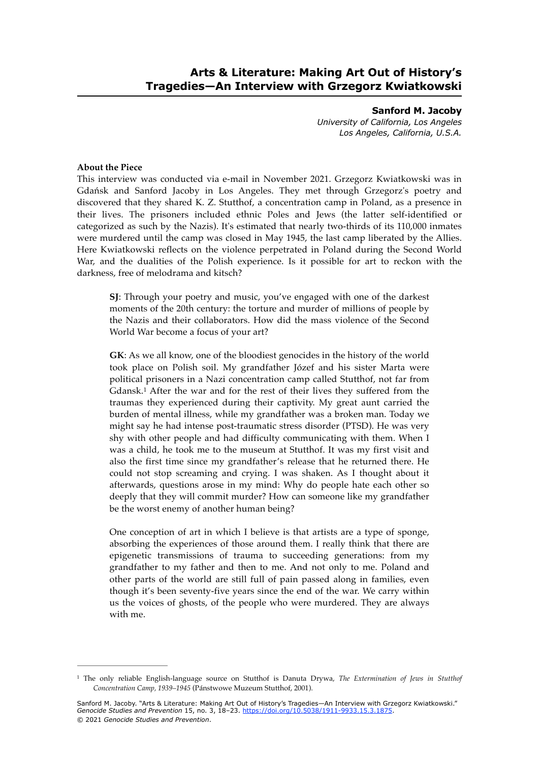**Sanford M. Jacoby** *University of California, Los Angeles Los Angeles, California, U.S.A.*

### **About the Piece**

This interview was conducted via e-mail in November 2021. Grzegorz Kwiatkowski was in Gdańsk and Sanford Jacoby in Los Angeles. They met through Grzegorz's poetry and discovered that they shared K. Z. Stutthof, a concentration camp in Poland, as a presence in their lives. The prisoners included ethnic Poles and Jews (the latter self-identified or categorized as such by the Nazis). It's estimated that nearly two-thirds of its 110,000 inmates were murdered until the camp was closed in May 1945, the last camp liberated by the Allies. Here Kwiatkowski reflects on the violence perpetrated in Poland during the Second World War, and the dualities of the Polish experience. Is it possible for art to reckon with the darkness, free of melodrama and kitsch?

**SJ**: Through your poetry and music, you've engaged with one of the darkest moments of the 20th century: the torture and murder of millions of people by the Nazis and their collaborators. How did the mass violence of the Second World War become a focus of your art?

<span id="page-2-1"></span>**GK**: As we all know, one of the bloodiest genocides in the history of the world took place on Polish soil. My grandfather Józef and his sister Marta were political prisoners in a Nazi concentration camp called Stutthof, not far from Gdansk.<sup>1</sup>After the war and for the rest of their lives they suffered from the traumas they experienced during their captivity. My great aunt carried the burden of mental illness, while my grandfather was a broken man. Today we might say he had intense post-traumatic stress disorder (PTSD). He was very shy with other people and had difficulty communicating with them. When I was a child, he took me to the museum at Stutthof. It was my first visit and also the first time since my grandfather's release that he returned there. He could not stop screaming and crying. I was shaken. As I thought about it afterwards, questions arose in my mind: Why do people hate each other so deeply that they will commit murder? How can someone like my grandfather be the worst enemy of another human being?

One conception of art in which I believe is that artists are a type of sponge, absorbing the experiences of those around them. I really think that there are epigenetic transmissions of trauma to succeeding generations: from my grandfather to my father and then to me. And not only to me. Poland and other parts of the world are still full of pain passed along in families, even though it's been seventy-five years since the end of the war. We carry within us the voices of ghosts, of the people who were murdered. They are always with me.

<span id="page-2-0"></span>The only reliable English-language source on Stutthof is Danuta Drywa, *The Extermination of Jews in Stutthof* [1](#page-2-1) *Concentration Camp, 1939–1945* (Pánstwowe Muzeum Stutthof, 2001).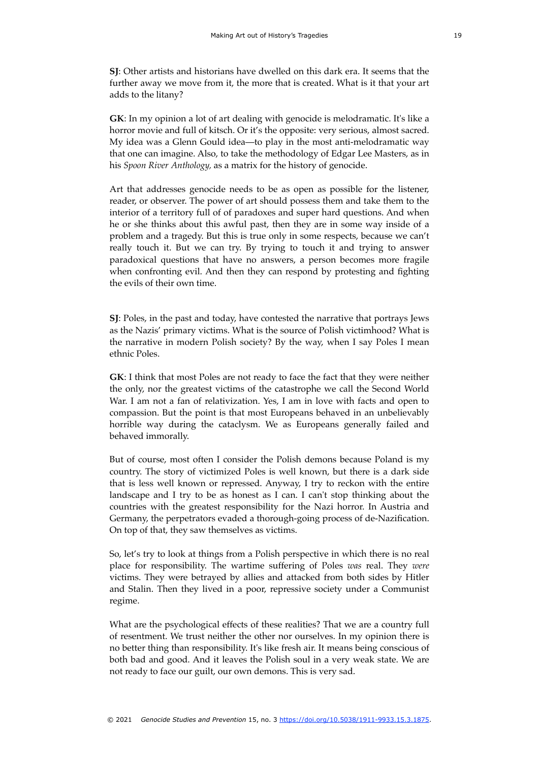**SJ**: Other artists and historians have dwelled on this dark era. It seems that the further away we move from it, the more that is created. What is it that your art adds to the litany?

**GK**: In my opinion a lot of art dealing with genocide is melodramatic. It's like a horror movie and full of kitsch. Or it's the opposite: very serious, almost sacred. My idea was a Glenn Gould idea—to play in the most anti-melodramatic way that one can imagine. Also, to take the methodology of Edgar Lee Masters, as in his *Spoon River Anthology,* as a matrix for the history of genocide.

Art that addresses genocide needs to be as open as possible for the listener, reader, or observer. The power of art should possess them and take them to the interior of a territory full of of paradoxes and super hard questions. And when he or she thinks about this awful past, then they are in some way inside of a problem and a tragedy. But this is true only in some respects, because we can't really touch it. But we can try. By trying to touch it and trying to answer paradoxical questions that have no answers, a person becomes more fragile when confronting evil. And then they can respond by protesting and fighting the evils of their own time.

**SJ**: Poles, in the past and today, have contested the narrative that portrays Jews as the Nazis' primary victims. What is the source of Polish victimhood? What is the narrative in modern Polish society? By the way, when I say Poles I mean ethnic Poles.

**GK**: I think that most Poles are not ready to face the fact that they were neither the only, nor the greatest victims of the catastrophe we call the Second World War. I am not a fan of relativization. Yes, I am in love with facts and open to compassion. But the point is that most Europeans behaved in an unbelievably horrible way during the cataclysm. We as Europeans generally failed and behaved immorally.

But of course, most often I consider the Polish demons because Poland is my country. The story of victimized Poles is well known, but there is a dark side that is less well known or repressed. Anyway, I try to reckon with the entire landscape and I try to be as honest as I can. I can't stop thinking about the countries with the greatest responsibility for the Nazi horror. In Austria and Germany, the perpetrators evaded a thorough-going process of de-Nazification. On top of that, they saw themselves as victims.

So, let's try to look at things from a Polish perspective in which there is no real place for responsibility. The wartime suffering of Poles *was* real. They *were*  victims. They were betrayed by allies and attacked from both sides by Hitler and Stalin. Then they lived in a poor, repressive society under a Communist regime.

What are the psychological effects of these realities? That we are a country full of resentment. We trust neither the other nor ourselves. In my opinion there is no better thing than responsibility. It's like fresh air. It means being conscious of both bad and good. And it leaves the Polish soul in a very weak state. We are not ready to face our guilt, our own demons. This is very sad.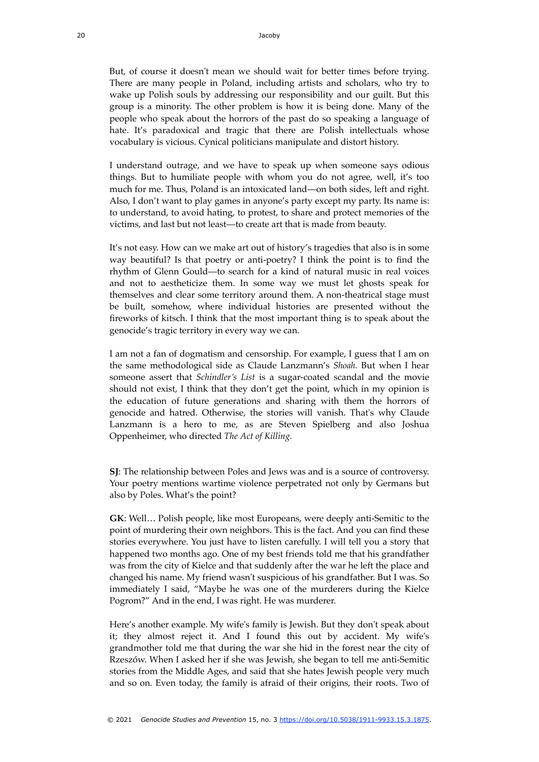But, of course it doesn't mean we should wait for better times before trying. There are many people in Poland, including artists and scholars, who try to wake up Polish souls by addressing our responsibility and our guilt. But this group is a minority. The other problem is how it is being done. Many of the people who speak about the horrors of the past do so speaking a language of hate. It's paradoxical and tragic that there are Polish intellectuals whose vocabulary is vicious. Cynical politicians manipulate and distort history.

I understand outrage, and we have to speak up when someone says odious things. But to humiliate people with whom you do not agree, well, it's too much for me. Thus, Poland is an intoxicated land—on both sides, left and right. Also, I don't want to play games in anyone's party except my party. Its name is: to understand, to avoid hating, to protest, to share and protect memories of the victims, and last but not least—to create art that is made from beauty.

It's not easy. How can we make art out of history's tragedies that also is in some way beautiful? Is that poetry or anti-poetry? I think the point is to find the rhythm of Glenn Gould—to search for a kind of natural music in real voices and not to aestheticize them. In some way we must let ghosts speak for themselves and clear some territory around them. A non-theatrical stage must be built, somehow, where individual histories are presented without the fireworks of kitsch. I think that the most important thing is to speak about the genocide's tragic territory in every way we can.

I am not a fan of dogmatism and censorship. For example, I guess that I am on the same methodological side as Claude Lanzmann's *Shoah.* But when I hear someone assert that *Schindler's List* is a sugar-coated scandal and the movie should not exist, I think that they don't get the point, which in my opinion is the education of future generations and sharing with them the horrors of genocide and hatred. Otherwise, the stories will vanish. That's why Claude Lanzmann is a hero to me, as are Steven Spielberg and also Joshua Oppenheimer, who directed *The Act of Killing.*

**SJ**: The relationship between Poles and Jews was and is a source of controversy. Your poetry mentions wartime violence perpetrated not only by Germans but also by Poles. What's the point?

**GK**: Well… Polish people, like most Europeans, were deeply anti-Semitic to the point of murdering their own neighbors. This is the fact. And you can find these stories everywhere. You just have to listen carefully. I will tell you a story that happened two months ago. One of my best friends told me that his grandfather was from the city of Kielce and that suddenly after the war he left the place and changed his name. My friend wasn't suspicious of his grandfather. But I was. So immediately I said, "Maybe he was one of the murderers during the Kielce Pogrom?" And in the end, I was right. He was murderer.

Here's another example. My wife's family is Jewish. But they don't speak about it; they almost reject it. And I found this out by accident. My wife's grandmother told me that during the war she hid in the forest near the city of Rzeszów. When I asked her if she was Jewish, she began to tell me anti-Semitic stories from the Middle Ages, and said that she hates Jewish people very much and so on. Even today, the family is afraid of their origins, their roots. Two of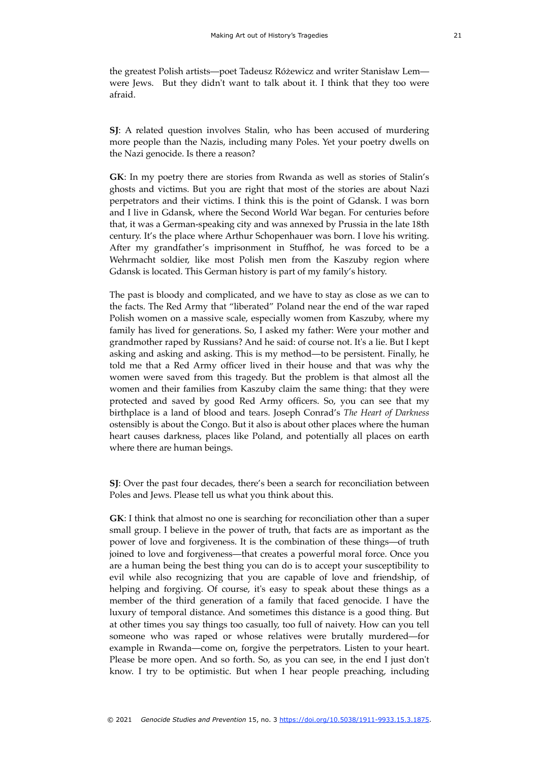the greatest Polish artists—poet Tadeusz Różewicz and writer Stanisław Lem were Jews. But they didn't want to talk about it. I think that they too were afraid.

**SJ**: A related question involves Stalin, who has been accused of murdering more people than the Nazis, including many Poles. Yet your poetry dwells on the Nazi genocide. Is there a reason?

**GK**: In my poetry there are stories from Rwanda as well as stories of Stalin's ghosts and victims. But you are right that most of the stories are about Nazi perpetrators and their victims. I think this is the point of Gdansk. I was born and I live in Gdansk, where the Second World War began. For centuries before that, it was a German-speaking city and was annexed by Prussia in the late 18th century. It's the place where Arthur Schopenhauer was born. I love his writing. After my grandfather's imprisonment in Stuffhof, he was forced to be a Wehrmacht soldier, like most Polish men from the Kaszuby region where Gdansk is located. This German history is part of my family's history.

The past is bloody and complicated, and we have to stay as close as we can to the facts. The Red Army that "liberated" Poland near the end of the war raped Polish women on a massive scale, especially women from Kaszuby, where my family has lived for generations. So, I asked my father: Were your mother and grandmother raped by Russians? And he said: of course not. It's a lie. But I kept asking and asking and asking. This is my method—to be persistent. Finally, he told me that a Red Army officer lived in their house and that was why the women were saved from this tragedy. But the problem is that almost all the women and their families from Kaszuby claim the same thing: that they were protected and saved by good Red Army officers. So, you can see that my birthplace is a land of blood and tears. Joseph Conrad's *The Heart of Darkness*  ostensibly is about the Congo. But it also is about other places where the human heart causes darkness, places like Poland, and potentially all places on earth where there are human beings.

**SJ**: Over the past four decades, there's been a search for reconciliation between Poles and Jews. Please tell us what you think about this.

**GK**: I think that almost no one is searching for reconciliation other than a super small group. I believe in the power of truth, that facts are as important as the power of love and forgiveness. It is the combination of these things—of truth joined to love and forgiveness—that creates a powerful moral force. Once you are a human being the best thing you can do is to accept your susceptibility to evil while also recognizing that you are capable of love and friendship, of helping and forgiving. Of course, it's easy to speak about these things as a member of the third generation of a family that faced genocide. I have the luxury of temporal distance. And sometimes this distance is a good thing. But at other times you say things too casually, too full of naivety. How can you tell someone who was raped or whose relatives were brutally murdered—for example in Rwanda—come on, forgive the perpetrators. Listen to your heart. Please be more open. And so forth. So, as you can see, in the end I just don't know. I try to be optimistic. But when I hear people preaching, including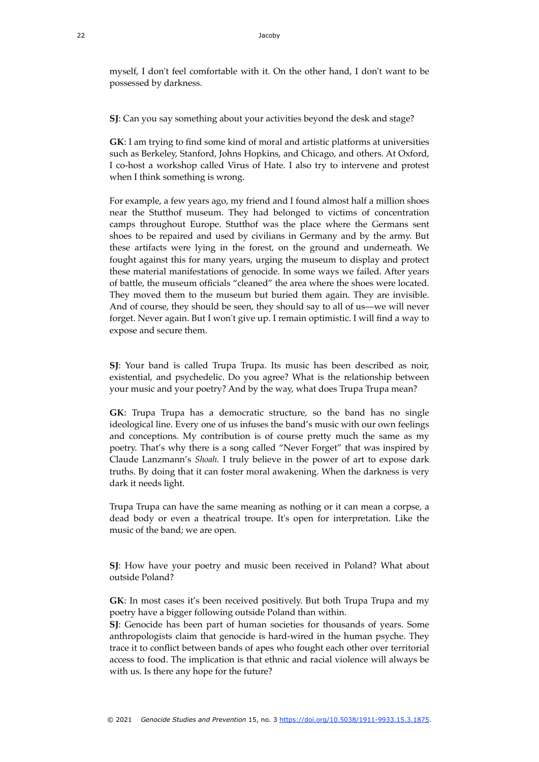myself, I don't feel comfortable with it. On the other hand, I don't want to be possessed by darkness.

**SJ**: Can you say something about your activities beyond the desk and stage?

**GK**: I am trying to find some kind of moral and artistic platforms at universities such as Berkeley, Stanford, Johns Hopkins, and Chicago, and others. At Oxford, I co-host a workshop called Virus of Hate. I also try to intervene and protest when I think something is wrong.

For example, a few years ago, my friend and I found almost half a million shoes near the Stutthof museum. They had belonged to victims of concentration camps throughout Europe. Stutthof was the place where the Germans sent shoes to be repaired and used by civilians in Germany and by the army. But these artifacts were lying in the forest, on the ground and underneath. We fought against this for many years, urging the museum to display and protect these material manifestations of genocide. In some ways we failed. After years of battle, the museum officials "cleaned" the area where the shoes were located. They moved them to the museum but buried them again. They are invisible. And of course, they should be seen, they should say to all of us—we will never forget. Never again. But I won't give up. I remain optimistic. I will find a way to expose and secure them.

**SJ**: Your band is called Trupa Trupa. Its music has been described as noir, existential, and psychedelic. Do you agree? What is the relationship between your music and your poetry? And by the way, what does Trupa Trupa mean?

**GK**: Trupa Trupa has a democratic structure, so the band has no single ideological line. Every one of us infuses the band's music with our own feelings and conceptions. My contribution is of course pretty much the same as my poetry. That's why there is a song called "Never Forget" that was inspired by Claude Lanzmann's *Shoah.* I truly believe in the power of art to expose dark truths. By doing that it can foster moral awakening. When the darkness is very dark it needs light.

Trupa Trupa can have the same meaning as nothing or it can mean a corpse, a dead body or even a theatrical troupe. It's open for interpretation. Like the music of the band; we are open.

**SJ**: How have your poetry and music been received in Poland? What about outside Poland?

**GK**: In most cases it's been received positively. But both Trupa Trupa and my poetry have a bigger following outside Poland than within.

**SJ**: Genocide has been part of human societies for thousands of years. Some anthropologists claim that genocide is hard-wired in the human psyche. They trace it to conflict between bands of apes who fought each other over territorial access to food. The implication is that ethnic and racial violence will always be with us. Is there any hope for the future?